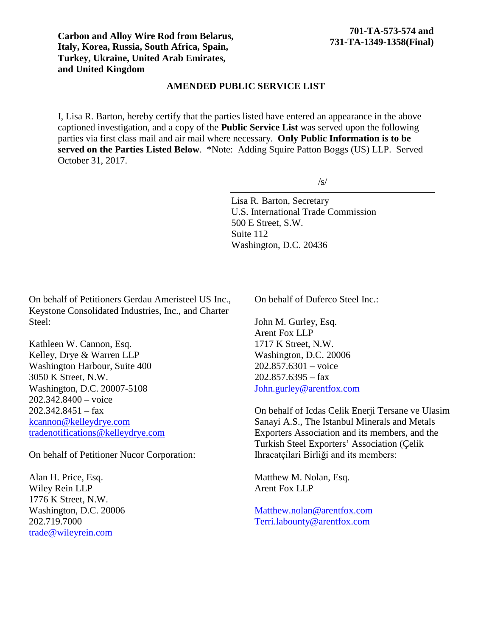**Carbon and Alloy Wire Rod from Belarus, Italy, Korea, Russia, South Africa, Spain, Turkey, Ukraine, United Arab Emirates, and United Kingdom**

## **AMENDED PUBLIC SERVICE LIST**

I, Lisa R. Barton, hereby certify that the parties listed have entered an appearance in the above captioned investigation, and a copy of the **Public Service List** was served upon the following parties via first class mail and air mail where necessary. **Only Public Information is to be served on the Parties Listed Below**. \*Note: Adding Squire Patton Boggs (US) LLP. Served October 31, 2017.

/s/

Lisa R. Barton, Secretary U.S. International Trade Commission 500 E Street, S.W. Suite 112 Washington, D.C. 20436

On behalf of Petitioners Gerdau Ameristeel US Inc., Keystone Consolidated Industries, Inc., and Charter Steel:

Kathleen W. Cannon, Esq. Kelley, Drye & Warren LLP Washington Harbour, Suite 400 3050 K Street, N.W. Washington, D.C. 20007-5108 202.342.8400 – voice  $202.342.8451 - fax$ [kcannon@kelleydrye.com](mailto:kcannon@kelleydrye.com) [tradenotifications@kelleydrye.com](mailto:tradenotifications@kelleydrye.com)

On behalf of Petitioner Nucor Corporation:

Alan H. Price, Esq. Wiley Rein LLP 1776 K Street, N.W. Washington, D.C. 20006 202.719.7000 [trade@wileyrein.com](mailto:trade@wileyrein.com)

On behalf of Duferco Steel Inc.:

John M. Gurley, Esq. Arent Fox LLP 1717 K Street, N.W. Washington, D.C. 20006 202.857.6301 – voice  $202.857.6395 - fax$ [John.gurley@arentfox.com](mailto:John.gurley@arentfox.com)

On behalf of Icdas Celik Enerji Tersane ve Ulasim Sanayi A.S., The Istanbul Minerals and Metals Exporters Association and its members, and the Turkish Steel Exporters' Association (Çelik Ihracatçilari Birliği and its members:

Matthew M. Nolan, Esq. Arent Fox LLP

[Matthew.nolan@arentfox.com](mailto:Matthew.nolan@arentfox.com) [Terri.labounty@arentfox.com](mailto:Terri.labounty@arentfox.com)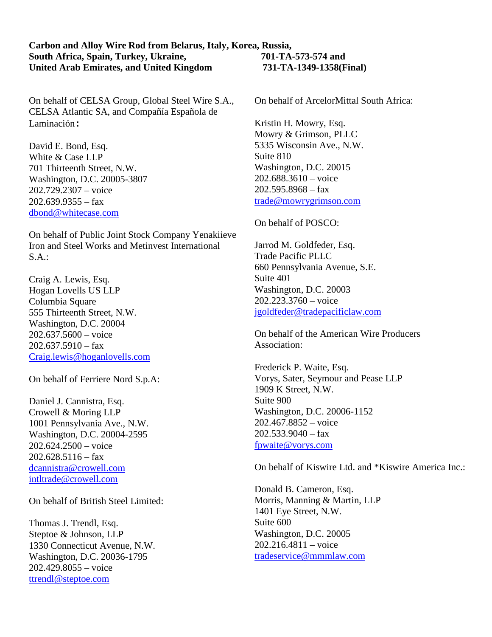## **Carbon and Alloy Wire Rod from Belarus, Italy, Korea, Russia, South Africa, Spain, Turkey, Ukraine, 701-TA-573-574 and United Arab Emirates, and United Kingdom 731-TA-1349-1358(Final)**

On behalf of CELSA Group, Global Steel Wire S.A., CELSA Atlantic SA, and Compañía Española de Laminación:

David E. Bond, Esq. White & Case LLP 701 Thirteenth Street, N.W. Washington, D.C. 20005-3807 202.729.2307 – voice  $202.639.9355 - fax$ [dbond@whitecase.com](mailto:dbond@whitecase.com)

On behalf of Public Joint Stock Company Yenakiieve Iron and Steel Works and Metinvest International S.A.:

Craig A. Lewis, Esq. Hogan Lovells US LLP Columbia Square 555 Thirteenth Street, N.W. Washington, D.C. 20004 202.637.5600 – voice  $202.637.5910 -$ fax [Craig.lewis@hoganlovells.com](mailto:Craig.lewis@hoganlovells.com)

On behalf of Ferriere Nord S.p.A:

Daniel J. Cannistra, Esq. Crowell & Moring LLP 1001 Pennsylvania Ave., N.W. Washington, D.C. 20004-2595 202.624.2500 – voice  $202.628.5116 -$  fax [dcannistra@crowell.com](mailto:dcannistra@crowell.com) [intltrade@crowell.com](mailto:intltrade@crowell.com)

On behalf of British Steel Limited:

Thomas J. Trendl, Esq. Steptoe & Johnson, LLP 1330 Connecticut Avenue, N.W. Washington, D.C. 20036-1795 202.429.8055 – voice [ttrendl@steptoe.com](mailto:ttrendl@steptoe.com)

On behalf of ArcelorMittal South Africa:

Kristin H. Mowry, Esq. Mowry & Grimson, PLLC 5335 Wisconsin Ave., N.W. Suite 810 Washington, D.C. 20015 202.688.3610 – voice  $202.595.8968 - fax$ [trade@mowrygrimson.com](mailto:trade@mowrygrimson.com)

On behalf of POSCO:

Jarrod M. Goldfeder, Esq. Trade Pacific PLLC 660 Pennsylvania Avenue, S.E. Suite 401 Washington, D.C. 20003 202.223.3760 – voice [jgoldfeder@tradepacificlaw.com](mailto:jgoldfeder@tradepacificlaw.com)

On behalf of the American Wire Producers Association:

Frederick P. Waite, Esq. Vorys, Sater, Seymour and Pease LLP 1909 K Street, N.W. Suite 900 Washington, D.C. 20006-1152 202.467.8852 – voice  $202.533.9040 - fax$ [fpwaite@vorys.com](mailto:fpwaite@vorys.com)

On behalf of Kiswire Ltd. and \*Kiswire America Inc.:

Donald B. Cameron, Esq. Morris, Manning & Martin, LLP 1401 Eye Street, N.W. Suite 600 Washington, D.C. 20005 202.216.4811 – voice [tradeservice@mmmlaw.com](mailto:tradeservice@mmmlaw.com)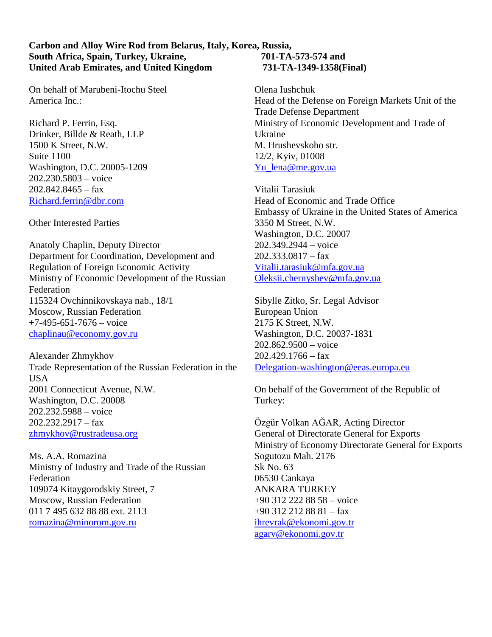## **Carbon and Alloy Wire Rod from Belarus, Italy, Korea, Russia, South Africa, Spain, Turkey, Ukraine, 701-TA-573-574 and United Arab Emirates, and United Kingdom 731-TA-1349-1358(Final)**

On behalf of Marubeni-Itochu Steel America Inc.:

Richard P. Ferrin, Esq. Drinker, Billde & Reath, LLP 1500 K Street, N.W. Suite 1100 Washington, D.C. 20005-1209 202.230.5803 – voice 202.842.8465 – fax [Richard.ferrin@dbr.com](mailto:Richard.ferrin@dbr.com)

Other Interested Parties

Anatoly Chaplin, Deputy Director Department for Coordination, Development and Regulation of Foreign Economic Activity Ministry of Economic Development of the Russian Federation 115324 Ovchinnikovskaya nab., 18/1 Moscow, Russian Federation  $+7-495-651-7676$  – voice [chaplinau@economy.gov.ru](mailto:chaplinau@economy.gov.ru)

Alexander Zhmykhov Trade Representation of the Russian Federation in the **USA** 2001 Connecticut Avenue, N.W. Washington, D.C. 20008 202.232.5988 – voice 202.232.2917 – fax [zhmykhov@rustradeusa.org](mailto:zhmykhov@rustradeusa.org)

Ms. A.A. Romazina Ministry of Industry and Trade of the Russian Federation 109074 Kitaygorodskiy Street, 7 Moscow, Russian Federation 011 7 495 632 88 88 ext. 2113 [romazina@minorom.gov.ru](mailto:romazina@minorom.gov.ru)

Olena Iushchuk Head of the Defense on Foreign Markets Unit of the

Trade Defense Department Ministry of Economic Development and Trade of Ukraine M. Hrushevskoho str. 12/2, Kyiv, 01008 [Yu\\_lena@me.gov.ua](mailto:Yu_lena@me.gov.ua)

Vitalii Tarasiuk Head of Economic and Trade Office Embassy of Ukraine in the United States of America 3350 M Street, N.W. Washington, D.C. 20007 202.349.2944 – voice  $202.333.0817 - fax$ [Vitalii.tarasiuk@mfa.gov.ua](mailto:Vitalii.tarasiuk@mfa.gov.ua) [Oleksii.chernyshev@mfa.gov.ua](mailto:Oleksii.chernyshev@mfa.gov.ua)

Sibylle Zitko, Sr. Legal Advisor European Union 2175 K Street, N.W. Washington, D.C. 20037-1831 202.862.9500 – voice  $202.429.1766 - fax$ [Delegation-washington@eeas.europa.eu](mailto:Delegation-washington@eeas.europa.eu)

On behalf of the Government of the Republic of Turkey:

Ӧzgür Volkan AĞAR, Acting Director General of Directorate General for Exports Ministry of Economy Directorate General for Exports Sogutozu Mah. 2176 Sk No. 63 06530 Cankaya ANKARA TURKEY +90 312 222 88 58 – voice +90 312 212 88 81 – fax [ihrevrak@ekonomi.gov.tr](mailto:ihrevrak@ekonomi.gov.tr) [agarv@ekonomi.gov.tr](mailto:agarv@ekonomi.gov.tr)